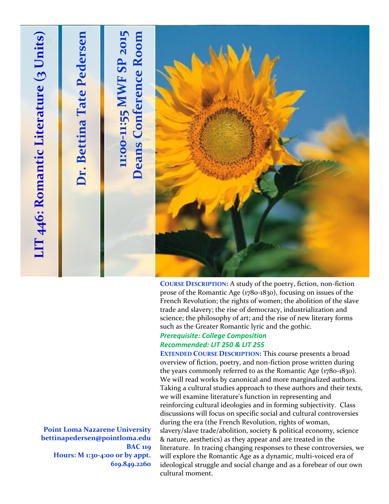

prose of the Romantic Age (1780-1830), focusing on issues of the French Revolution; the rights of women; the abolition of the slave trade and slavery; the rise of democracy, industrialization and science; the philosophy of art; and the rise of new literary forms such as the Greater Romantic lyric and the gothic. *Prerequisite: College Composition*

# *Recommended: LIT 250 & LIT 255*

**EXTENDED COURSE DESCRIPTION:** This course presents a broad overview of fiction, poetry, and non-fiction prose written during the years commonly referred to as the Romantic Age (1780-1830). We will read works by canonical and more marginalized authors. Taking a cultural studies approach to these authors and their texts, we will examine literature's function in representing and reinforcing cultural ideologies and in forming subjectivity. Class discussions will focus on specific social and cultural controversies during the era (the French Revolution, rights of woman, slavery/slave trade/abolition, society & political economy, science & nature, aesthetics) as they appear and are treated in the literature. In tracing changing responses to these controversies, we will explore the Romantic Age as a dynamic, multi-voiced era of ideological struggle and social change and as a forebear of our own cultural moment.

**Point Loma Nazarene University bettinapedersen@pointloma.edu BAC 119 Hours: M 1:30-4:00 or by appt. 619.849.2260**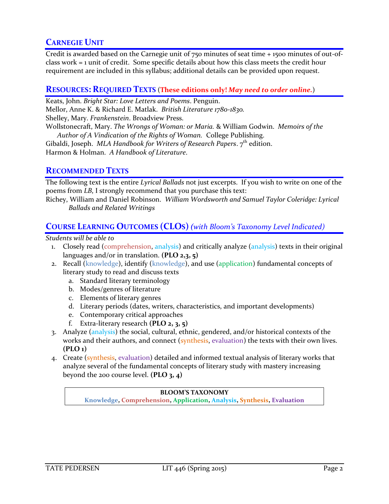## **CARNEGIE UNIT**

Credit is awarded based on the Carnegie unit of 750 minutes of seat time + 1500 minutes of out-ofclass work = 1 unit of credit. Some specific details about how this class meets the credit hour requirement are included in this syllabus; additional details can be provided upon request.

### **RESOURCES: REQUIRED TEXTS** (**These editions only!** *May need to order online.*)

Keats, John. *Bright Star: Love Letters and Poems*. Penguin.

Mellor, Anne K. & Richard E. Matlak. *British Literature 1780-1830.*

Shelley, Mary. *Frankenstein*. Broadview Press.

Wollstonecraft, Mary. *The Wrongs of Woman: or Maria.* & William Godwin. *Memoirs of the Author of A Vindication of the Rights of Woman.* College Publishing.

Gibaldi, Joseph. *MLA Handbook for Writers of Research Papers*. 7<sup>th</sup> edition.

Harmon & Holman. *A Handbook of Literature*.

## **RECOMMENDED TEXTS**

The following text is the entire *Lyrical Ballads* not just excerpts. If you wish to write on one of the poems from *LB*, I strongly recommend that you purchase this text:

Richey, William and Daniel Robinson. *William Wordsworth and Samuel Taylor Coleridge: Lyrical Ballads and Related Writings*

## **COURSE LEARNING OUTCOMES (CLOS)***(with Bloom's Taxonomy Level Indicated)*

*Students will be able to*

- 1. Closely read (comprehension, analysis) and critically analyze (analysis) texts in their original languages and/or in translation. **(PLO 2,3, 5)**
- 2. Recall (knowledge), identify (knowledge), and use (application) fundamental concepts of literary study to read and discuss texts
	- a. Standard literary terminology
	- b. Modes/genres of literature
	- c. Elements of literary genres
	- d. Literary periods (dates, writers, characteristics, and important developments)
	- e. Contemporary critical approaches
	- f. Extra-literary research **(PLO 2, 3, 5)**
- 3. Analyze (analysis) the social, cultural, ethnic, gendered, and/or historical contexts of the works and their authors, and connect (synthesis, evaluation) the texts with their own lives. **(PLO 1)**
- 4. Create (synthesis, evaluation) detailed and informed textual analysis of literary works that analyze several of the fundamental concepts of literary study with mastery increasing beyond the 200 course level. **(PLO 3, 4)**

#### **BLOOM'S TAXONOMY**

**Knowledge, Comprehension, Application, Analysis, Synthesis, Evaluation**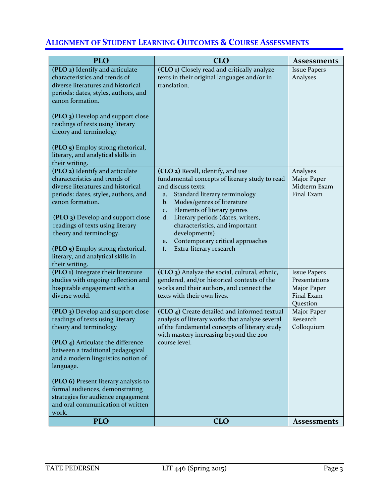## **ALIGNMENT OF STUDENT LEARNING OUTCOMES & COURSE ASSESSMENTS**

| <b>PLO</b>                                                                                                                                                                                                                                                                                                                                                                                  | <b>CLO</b>                                                                                                                                                                                                                                                                                                                                                                                                                 | <b>Assessments</b>                                                            |
|---------------------------------------------------------------------------------------------------------------------------------------------------------------------------------------------------------------------------------------------------------------------------------------------------------------------------------------------------------------------------------------------|----------------------------------------------------------------------------------------------------------------------------------------------------------------------------------------------------------------------------------------------------------------------------------------------------------------------------------------------------------------------------------------------------------------------------|-------------------------------------------------------------------------------|
| (PLO 2) Identify and articulate<br>characteristics and trends of<br>diverse literatures and historical<br>periods: dates, styles, authors, and<br>canon formation.<br>(PLO 3) Develop and support close<br>readings of texts using literary<br>theory and terminology<br>(PLO 5) Employ strong rhetorical,<br>literary, and analytical skills in<br>their writing.                          | (CLO 1) Closely read and critically analyze<br>texts in their original languages and/or in<br>translation.                                                                                                                                                                                                                                                                                                                 | <b>Issue Papers</b><br>Analyses                                               |
| (PLO 2) Identify and articulate<br>characteristics and trends of<br>diverse literatures and historical<br>periods: dates, styles, authors, and<br>canon formation.<br>(PLO 3) Develop and support close<br>readings of texts using literary<br>theory and terminology.<br>(PLO 5) Employ strong rhetorical,<br>literary, and analytical skills in<br>their writing.                         | (CLO 2) Recall, identify, and use<br>fundamental concepts of literary study to read<br>and discuss texts:<br>Standard literary terminology<br>a.<br>Modes/genres of literature<br>$\mathbf{b}$ .<br>Elements of literary genres<br>C <sub>1</sub><br>Literary periods (dates, writers,<br>d.<br>characteristics, and important<br>developments)<br>Contemporary critical approaches<br>e.<br>f.<br>Extra-literary research | Analyses<br>Major Paper<br>Midterm Exam<br>Final Exam                         |
| (PLO 1) Integrate their literature<br>studies with ongoing reflection and<br>hospitable engagement with a<br>diverse world.                                                                                                                                                                                                                                                                 | (CLO 3) Analyze the social, cultural, ethnic,<br>gendered, and/or historical contexts of the<br>works and their authors, and connect the<br>texts with their own lives.                                                                                                                                                                                                                                                    | <b>Issue Papers</b><br>Presentations<br>Major Paper<br>Final Exam<br>Question |
| (PLO 3) Develop and support close<br>readings of texts using literary<br>theory and terminology<br>(PLO 4) Articulate the difference<br>between a traditional pedagogical<br>and a modern linguistics notion of<br>language.<br>(PLO 6) Present literary analysis to<br>formal audiences, demonstrating<br>strategies for audience engagement<br>and oral communication of written<br>work. | (CLO 4) Create detailed and informed textual<br>analysis of literary works that analyze several<br>of the fundamental concepts of literary study<br>with mastery increasing beyond the 200<br>course level.                                                                                                                                                                                                                | Major Paper<br>Research<br>Colloquium                                         |
| <b>PLO</b>                                                                                                                                                                                                                                                                                                                                                                                  | <b>CLO</b>                                                                                                                                                                                                                                                                                                                                                                                                                 | <b>Assessments</b>                                                            |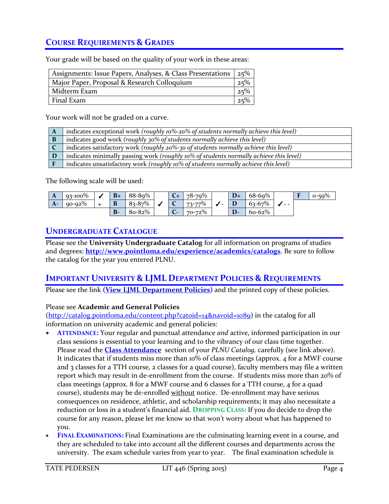## **COURSE REQUIREMENTS & GRADES**

Your grade will be based on the quality of your work in these areas:

| Assignments: Issue Papers, Analyses, & Class Presentations 25% |        |
|----------------------------------------------------------------|--------|
| Major Paper, Proposal & Research Colloquium                    | 25%    |
| Midterm Exam                                                   | 25%    |
| Final Exam                                                     | $25\%$ |

Your work will not be graded on a curve.

| $\mathbf{A}$ | indicates exceptional work (roughly 10%-20% of students normally achieve this level)                |
|--------------|-----------------------------------------------------------------------------------------------------|
| B            | indicates good work (roughly 30% of students normally achieve this level)                           |
|              | $\blacksquare$ indicates satisfactory work (roughly 20%-30 of students normally achieve this level) |
|              | indicates minimally passing work (roughly 10% of students normally achieve this level)              |
|              | indicates unsatisfactory work (roughly 10% of students normally achieve this level)                 |

The following scale will be used:

| $\mathbf{A}$ | $93 - 100\%$ | $B+$      | 88-89%      |   | $78 - 79%$         |   | $D+$ | $68 - 69%$ |      | $\overline{\phantom{a}}$ | $0 - 50\%$ |
|--------------|--------------|-----------|-------------|---|--------------------|---|------|------------|------|--------------------------|------------|
| $A-$         | $90 - 92\%$  | D<br>D    | $8 - 8 - 8$ |   | $\Omega$<br>73-77% | - | D    | $63 - 67%$ | $ -$ |                          |            |
|              |              | <b>B-</b> | 80-82%      | - | 70-72%             |   | $D-$ | $60 - 62%$ |      |                          |            |

## **UNDERGRADUATE CATALOGUE**

Please see the **University Undergraduate Catalog** for all information on programs of studies and degrees: **<http://www.pointloma.edu/experience/academics/catalogs>**. Be sure to follow the catalog for the year you entered PLNU.

## **IMPORTANT UNIVERSITY & LJML DEPARTMENT POLICIES & REQUIREMENTS**

Please see the link **(View LJML [Department](http://www.pointloma.edu/sites/default/files/filemanager/Literature_Journalism__Modern_Languages/LJML_Department_Syllabus_Statments_final_1.docx) Policies)** and the printed copy of these policies.

### Please see **Academic and General Policies**

[\(http://catalog.pointloma.edu/content.php?catoid=14&navoid=1089\)](http://catalog.pointloma.edu/content.php?catoid=14&navoid=1089) in the catalog for all information on university academic and general policies:

- **ATTENDANCE:** Your regular and punctual attendance *and* active, informed participation in our class sessions is essential to your learning and to the vibrancy of our class time together. Please read the **[Class Attendance](http://catalog.pointloma.edu/content.php?catoid=14&navoid=1089#Class_Attendance)** section of your *PLNU Catalog,* carefully (see link above). It indicates that if students miss more than 10% of class meetings (approx. 4 for a MWF course and 3 classes for a TTH course, 2 classes for a quad course), faculty members may file a written report which may result in de-enrollment from the course. If students miss more than 20% of class meetings (approx. 8 for a MWF course and 6 classes for a TTH course, 4 for a quad course), students may be de-enrolled without notice. De-enrollment may have serious consequences on residence, athletic, and scholarship requirements; it may also necessitate a reduction or loss in a student's financial aid. **DROPPING CLASS:** If you do decide to drop the course for any reason, please let me know so that won't worry about what has happened to you.
- **FINAL EXAMINATIONS:** Final Examinations are the culminating learning event in a course, and they are scheduled to take into account all the different courses and departments across the university. The exam schedule varies from year to year. The final examination schedule is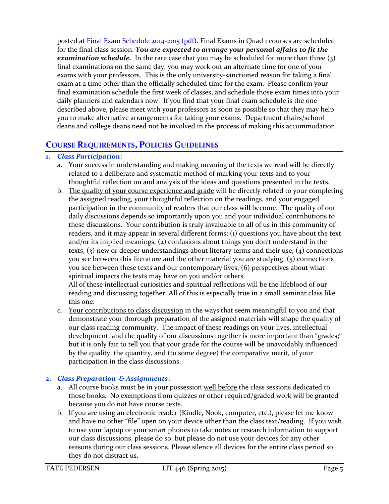posted at Final Exam Schedule [2014-2015](http://www.pointloma.edu/sites/default/files/filemanager/Academic_Affairs/Calendars/Final_Exam_Schedule_2014-2015.pdf) (pdf). Final Exams in Quad 1 courses are scheduled for the final class session. *You are expected to arrange your personal affairs to fit the examination schedule.* In the rare case that you may be scheduled for more than three (3) final examinations on the same day, you may work out an alternate time for one of your exams with your professors. This is the only university-sanctioned reason for taking a final exam at a time other than the officially scheduled time for the exam. Please confirm your final examination schedule the first week of classes, and schedule those exam times into your daily planners and calendars now. If you find that your final exam schedule is the one described above, please meet with your professors as soon as possible so that they may help you to make alternative arrangements for taking your exams. Department chairs/school deans and college deans need not be involved in the process of making this accommodation.

## **COURSE REQUIREMENTS, POLICIES GUIDELINES**

### **1.** *Class Participation***:**

- a. Your success in understanding and making meaning of the texts we read will be directly related to a deliberate and systematic method of marking your texts and to your thoughtful reflection on and analysis of the ideas and questions presented in the texts.
- b. The quality of your course experience and grade will be directly related to your completing the assigned reading, your thoughtful reflection on the readings, and your engaged participation in the community of readers that our class will become. The quality of our daily discussions depends so importantly upon you and your individual contributions to these discussions. Your contribution is truly invaluable to all of us in this community of readers, and it may appear in several different forms: (1) questions you have about the text and/or its implied meanings, (2) confusions about things you don't understand in the texts, (3) new or deeper understandings about literary terms and their use, (4) connections you see between this literature and the other material you are studying, (5) connections you see between these texts and our contemporary lives, (6) perspectives about what spiritual impacts the texts may have on you and/or others.

All of these intellectual curiosities and spiritual reflections will be the lifeblood of our reading and discussing together. All of this is especially true in a small seminar class like this one.

c. Your contributions to class discussion in the ways that seem meaningful to you and that demonstrate your thorough preparation of the assigned materials will shape the quality of our class reading community. The impact of these readings on your lives, intellectual development, and the quality of our discussions together is more important than "grades;" but it is only fair to tell you that your grade for the course will be unavoidably influenced by the quality, the quantity, and (to some degree) the comparative merit, of your participation in the class discussions.

### **2.** *Class Preparation & Assignments***:**

- a. All course books must be in your possession well before the class sessions dedicated to those books. No exemptions from quizzes or other required/graded work will be granted because you do not have course texts.
- b. If you are using an electronic reader (Kindle, Nook, computer, etc.), please let me know and have no other "file" open on your device other than the class text/reading. If you wish to use your laptop or your smart phones to take notes or research information to support our class discussions, please do so, but please do not use your devices for any other reasons during our class sessions. Please silence all devices for the entire class period so they do not distract us.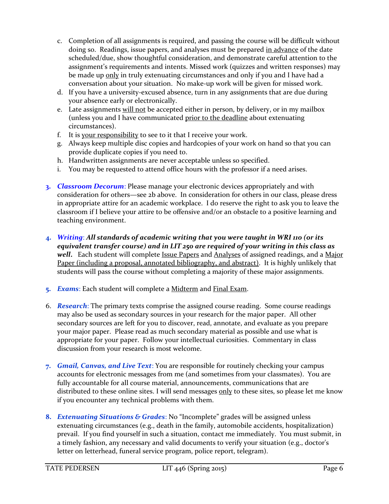- c. Completion of all assignments is required, and passing the course will be difficult without doing so. Readings, issue papers, and analyses must be prepared in advance of the date scheduled/due, show thoughtful consideration, and demonstrate careful attention to the assignment's requirements and intents. Missed work (quizzes and written responses) may be made up only in truly extenuating circumstances and only if you and I have had a conversation about your situation. No make-up work will be given for missed work.
- d. If you have a university-excused absence, turn in any assignments that are due during your absence early or electronically.
- e. Late assignments will not be accepted either in person, by delivery, or in my mailbox (unless you and I have communicated prior to the deadline about extenuating circumstances).
- f. It is your responsibility to see to it that I receive your work.
- g. Always keep multiple disc copies and hardcopies of your work on hand so that you can provide duplicate copies if you need to.
- h. Handwritten assignments are never acceptable unless so specified.
- i. You may be requested to attend office hours with the professor if a need arises.
- **3.** *Classroom Decorum*: Please manage your electronic devices appropriately and with consideration for others—see 2b above. In consideration for others in our class, please dress in appropriate attire for an academic workplace. I do reserve the right to ask you to leave the classroom if I believe your attire to be offensive and/or an obstacle to a positive learning and teaching environment.
- **4.** *Writing*: *All standards of academic writing that you were taught in WRI 110 (or its equivalent transfer course) and in LIT 250 are required of your writing in this class as well***.** Each student will complete Issue Papers and Analyses of assigned readings, and a Major Paper (including a proposal, annotated bibliography, and abstract). It is highly unlikely that students will pass the course without completing a majority of these major assignments.
- **5.** *Exams*: Each student will complete a Midterm and Final Exam.
- 6. *Research*: The primary texts comprise the assigned course reading. Some course readings may also be used as secondary sources in your research for the major paper. All other secondary sources are left for you to discover, read, annotate, and evaluate as you prepare your major paper. Please read as much secondary material as possible and use what is appropriate for your paper. Follow your intellectual curiosities. Commentary in class discussion from your research is most welcome.
- **7.** *Gmail, Canvas, and Live Text*: You are responsible for routinely checking your campus accounts for electronic messages from me (and sometimes from your classmates). You are fully accountable for all course material, announcements, communications that are distributed to these online sites. I will send messages only to these sites, so please let me know if you encounter any technical problems with them.
- **8.** *Extenuating Situations & Grades*: No "Incomplete" grades will be assigned unless extenuating circumstances (e.g., death in the family, automobile accidents, hospitalization) prevail. If you find yourself in such a situation, contact me immediately. You must submit, in a timely fashion, any necessary and valid documents to verify your situation (e.g., doctor's letter on letterhead, funeral service program, police report, telegram).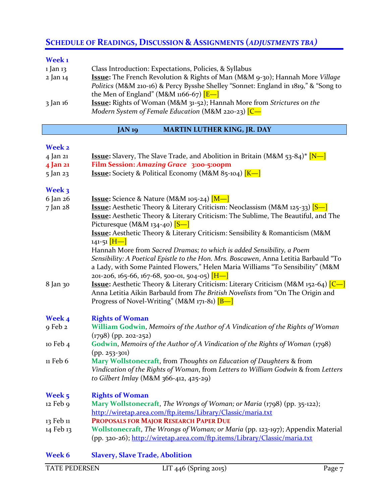## **SCHEDULE OF READINGS, DISCUSSION & ASSIGNMENTS (***ADJUSTMENTS TBA)*

### **Week 1**

| 1 Jan 13 | Class Introduction: Expectations, Policies, & Syllabus                              |
|----------|-------------------------------------------------------------------------------------|
| 2 Jan 14 | <b>Issue:</b> The French Revolution & Rights of Man (M&M 9-30); Hannah More Village |
|          | Politics (M&M 210-16) & Percy Bysshe Shelley "Sonnet: England in 1819," & "Song to  |
|          | the Men of England" (M&M $1166-67$ ) $E-$                                           |
| 3 Jan 16 | <b>Issue:</b> Rights of Woman (M&M 31-52); Hannah More from Strictures on the       |
|          | Modern System of Female Education (M&M 220-23) $[C -]$                              |

### **JAN 19 MARTIN LUTHER KING, JR. DAY**

### **Week 2**

| 4 Jan 21  | <b>Issue:</b> Slavery, The Slave Trade, and Abolition in Britain (M&M $53-84$ )* [N-]                                                                                                                                                                                                            |
|-----------|--------------------------------------------------------------------------------------------------------------------------------------------------------------------------------------------------------------------------------------------------------------------------------------------------|
| 4 Jan 21  | Film Session: Amazing Grace 3:00-5:00pm                                                                                                                                                                                                                                                          |
| 5 Jan 23  | <b>Issue:</b> Society & Political Economy (M&M 85-104) $K$ –                                                                                                                                                                                                                                     |
| Week 3    |                                                                                                                                                                                                                                                                                                  |
| 6 Jan 26  | <b>Issue:</b> Science & Nature (M&M 105-24) [M-]                                                                                                                                                                                                                                                 |
| 7 Jan 28  | <b>Issue:</b> Aesthetic Theory & Literary Criticism: Neoclassism (M&M 125-33) [S-]<br>Issue: Aesthetic Theory & Literary Criticism: The Sublime, The Beautiful, and The<br>Picturesque (M&M 134-40) $[S-]$                                                                                       |
|           | <b>Issue:</b> Aesthetic Theory & Literary Criticism: Sensibility & Romanticism (M&M<br>141-51 $[H-]$                                                                                                                                                                                             |
|           | Hannah More from Sacred Dramas; to which is added Sensibility, a Poem<br>Sensibility: A Poetical Epistle to the Hon. Mrs. Boscawen, Anna Letitia Barbauld "To<br>a Lady, with Some Painted Flowers," Helen Maria Williams "To Sensibility" (M&M<br>201-206, 165-66, 167-68, 500-01, 504-05) [H-] |
| 8 Jan 30  | <b>Issue:</b> Aesthetic Theory & Literary Criticism: Literary Criticism (M&M 152-64) $\boxed{C-}$<br>Anna Letitia Aikin Barbauld from The British Novelists from "On The Origin and<br>Progress of Novel-Writing" (M&M 171-81) $[B-]$                                                            |
| Week 4    | <b>Rights of Woman</b>                                                                                                                                                                                                                                                                           |
| 9 Feb 2   | William Godwin, Memoirs of the Author of A Vindication of the Rights of Woman<br>$(1798)$ (pp. 202-252)                                                                                                                                                                                          |
| 10 Feb 4  | Godwin, Memoirs of the Author of A Vindication of the Rights of Woman (1798)<br>$(pp. 253 - 301)$                                                                                                                                                                                                |
| 11 Feb 6  | Mary Wollstonecraft, from Thoughts on Education of Daughters & from<br>Vindication of the Rights of Woman, from Letters to William Godwin & from Letters<br>to Gilbert Imlay (M&M 366-412, 425-29)                                                                                               |
| Week 5    | <b>Rights of Woman</b>                                                                                                                                                                                                                                                                           |
| 12 Feb 9  | Mary Wollstonecraft, The Wrongs of Woman; or Maria (1798) (pp. 35-122);<br>http://wiretap.area.com/ftp.items/Library/Classic/maria.txt                                                                                                                                                           |
| 13 Feb 11 | PROPOSALS FOR MAJOR RESEARCH PAPER DUE                                                                                                                                                                                                                                                           |
| 14 Feb 13 | Wollstonecraft, The Wrongs of Woman; or Maria (pp. 123-197); Appendix Material<br>(pp. 320-26); http://wiretap.area.com/ftp.items/Library/Classic/maria.txt                                                                                                                                      |
| Week 6    | <b>Slavery, Slave Trade, Abolition</b>                                                                                                                                                                                                                                                           |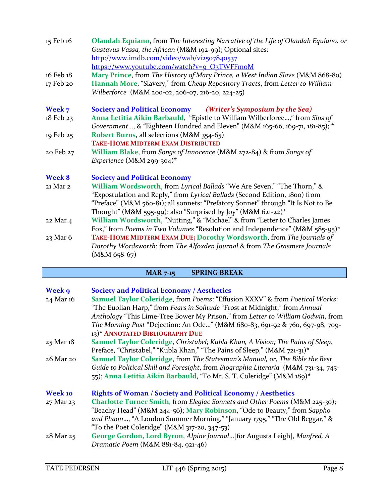| 15 Feb 16                 | Olaudah Equiano, from The Interesting Narrative of the Life of Olaudah Equiano, or<br>Gustavus Vassa, the African (M&M 192-99); Optional sites:<br>http://www.imdb.com/video/wab/vi2507840537<br>https://www.youtube.com/watch?v=9_O3TWFFmoM                                                                                                       |  |  |
|---------------------------|----------------------------------------------------------------------------------------------------------------------------------------------------------------------------------------------------------------------------------------------------------------------------------------------------------------------------------------------------|--|--|
| 16 Feb 18<br>17 Feb 20    | Mary Prince, from The History of Mary Prince, a West Indian Slave (M&M 868-80)<br>Hannah More, "Slavery," from Cheap Repository Tracts, from Letter to William<br>Wilberforce (M&M 200-02, 206-07, 216-20, 224-25)                                                                                                                                 |  |  |
| Week 7<br>18 Feb 23       | Society and Political Economy (Writer's Symposium by the Sea)<br>Anna Letitia Aikin Barbauld, "Epistle to William Wilberforce," from Sins of<br>Government, & "Eighteen Hundred and Eleven" (M&M 165-66, 169-71, 181-85); *                                                                                                                        |  |  |
| 19 Feb 25                 | Robert Burns, all selections (M&M 354-65)<br><b>TAKE-HOME MIDTERM EXAM DISTRIBUTED</b>                                                                                                                                                                                                                                                             |  |  |
| 20 Feb 27                 | William Blake, from Songs of Innocence (M&M 272-84) & from Songs of<br>Experience (M&M 299-304)*                                                                                                                                                                                                                                                   |  |  |
| <b>Week 8</b><br>21 Mar 2 | <b>Society and Political Economy</b><br>William Wordsworth, from Lyrical Ballads "We Are Seven," "The Thorn," &<br>"Expostulation and Reply," from Lyrical Ballads (Second Edition, 1800) from<br>"Preface" (M&M 560-81); all sonnets: "Prefatory Sonnet" through "It Is Not to Be<br>Thought" (M&M 595-99); also "Surprised by Joy" (M&M 621-22)* |  |  |
| 22 Mar 4                  | William Wordsworth, "Nutting," & "Michael" & from "Letter to Charles James<br>Fox," from Poems in Two Volumes "Resolution and Independence" (M&M 585-95)*                                                                                                                                                                                          |  |  |
| 23 Mar 6                  | TAKE-HOME MIDTERM EXAM DUE; Dorothy Wordsworth, from The Journals of<br>Dorothy Wordsworth: from The Alfoxden Journal & from The Grasmere Journals<br>$(M&M 658-67)$                                                                                                                                                                               |  |  |

## **MAR 7-15 SPRING BREAK**

| <b>Week 9</b><br>24 Mar 16  | <b>Society and Political Economy / Aesthetics</b><br>Samuel Taylor Coleridge, from Poems: "Effusion XXXV" & from Poetical Works:<br>"The Euolian Harp," from Fears in Solitude "Frost at Midnight," from Annual<br>Anthology "This Lime-Tree Bower My Prison," from Letter to William Godwin, from<br>The Morning Post "Dejection: An Ode" (M&M 680-83, 691-92 & 760, 697-98, 709-<br>13)* ANNOTATED BIBLIOGRAPHY DUE |
|-----------------------------|-----------------------------------------------------------------------------------------------------------------------------------------------------------------------------------------------------------------------------------------------------------------------------------------------------------------------------------------------------------------------------------------------------------------------|
| 25 Mar 18                   | Samuel Taylor Coleridge, Christabel; Kubla Khan, A Vision; The Pains of Sleep,<br>Preface, "Christabel," "Kubla Khan," "The Pains of Sleep," (M&M 721-31)*                                                                                                                                                                                                                                                            |
| 26 Mar 20                   | Samuel Taylor Coleridge, from The Statesman's Manual, or, The Bible the Best<br>Guide to Political Skill and Foresight, from Biographia Literaria (M&M 731-34, 745-<br>55); Anna Letitia Aikin Barbauld, "To Mr. S. T. Coleridge" (M&M 189)*                                                                                                                                                                          |
| <b>Week 10</b><br>27 Mar 23 | <b>Rights of Woman / Society and Political Economy / Aesthetics</b><br>Charlotte Turner Smith, from Elegiac Sonnets and Other Poems (M&M 225-30);<br>"Beachy Head" (M&M 244-56); Mary Robinson, "Ode to Beauty," from Sappho<br>and Phaon, "A London Summer Morning," "January 1795," "The Old Beggar," &<br>"To the Poet Coleridge" (M&M 317-20, 347-53)                                                             |
| 28 Mar 25                   | George Gordon, Lord Byron, Alpine Journal [for Augusta Leigh], Manfred, A<br>Dramatic Poem (M&M 881-84, 921-46)                                                                                                                                                                                                                                                                                                       |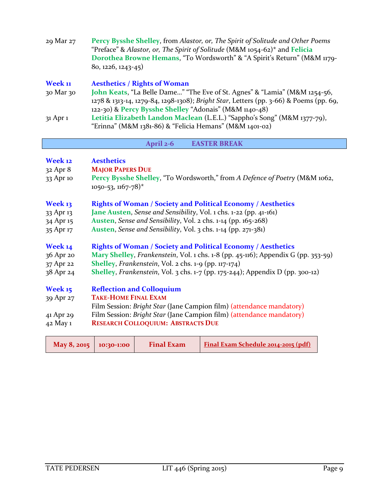| 29 Mar 27    | Percy Bysshe Shelley, from Alastor, or, The Spirit of Solitude and Other Poems<br>"Preface" & Alastor, or, The Spirit of Solitude (M&M $1054-62$ )* and Felicia<br>Dorothea Browne Hemans, "To Wordsworth" & "A Spirit's Return" (M&M 1179-<br>$80, 1226, 1243 - 45)$ |
|--------------|-----------------------------------------------------------------------------------------------------------------------------------------------------------------------------------------------------------------------------------------------------------------------|
| Week 11      | <b>Aesthetics / Rights of Woman</b>                                                                                                                                                                                                                                   |
| 30 Mar 30    | John Keats, "La Belle Dame" "The Eve of St. Agnes" & "Lamia" (M&M 1254-56,<br>1278 & 1313-14, 1279-84, 1298-1308); Bright Star, Letters (pp. 3-66) & Poems (pp. 69,<br>122-30) & Percy Bysshe Shelley "Adonais" (M&M 1140-48)                                         |
| $31$ Apr $1$ | Letitia Elizabeth Landon Maclean (L.E.L.) "Sappho's Song" (M&M 1377-79),<br>"Erinna" (M&M 1381-86) & "Felicia Hemans" (M&M 1401-02)                                                                                                                                   |

| April 2-6 | <b>EASTER BREAK</b> |  |
|-----------|---------------------|--|
|-----------|---------------------|--|

| Week 12<br>$32$ Apr $8$<br>33 Apr 10           | <b>Aesthetics</b><br><b>MAJOR PAPERS DUE</b><br>Percy Bysshe Shelley, "To Wordsworth," from A Defence of Poetry (M&M 1062,<br>$1050 - 53$ , $1167 - 78$ <sup>*</sup>                                                                                                       |
|------------------------------------------------|----------------------------------------------------------------------------------------------------------------------------------------------------------------------------------------------------------------------------------------------------------------------------|
| Week 13<br>33 Apr 13<br>34 Apr 15<br>35 Apr 17 | <b>Rights of Woman / Society and Political Economy / Aesthetics</b><br>Jane Austen, Sense and Sensibility, Vol. 1 chs. 1-22 (pp. 41-161)<br>Austen, Sense and Sensibility, Vol. 2 chs. 1-14 (pp. 165-268)<br>Austen, Sense and Sensibility, Vol. 3 chs. 1-14 (pp. 271-381) |
| Week 14                                        | <b>Rights of Woman / Society and Political Economy / Aesthetics</b>                                                                                                                                                                                                        |
| 36 Apr 20                                      | Mary Shelley, Frankenstein, Vol. 1 chs. 1-8 (pp. 45-116); Appendix G (pp. 353-59)                                                                                                                                                                                          |
| 37 Apr 22                                      | <b>Shelley</b> , Frankenstein, Vol. 2 chs. $1-9$ (pp. $117-174$ )                                                                                                                                                                                                          |
| 38 Apr 24                                      | <b>Shelley, Frankenstein, Vol. 3 chs. 1-7 (pp. 175-244); Appendix D (pp. 300-12)</b>                                                                                                                                                                                       |
| Week 15                                        | <b>Reflection and Colloquium</b>                                                                                                                                                                                                                                           |
| 39 Apr 27                                      | <b>TAKE-HOME FINAL EXAM</b>                                                                                                                                                                                                                                                |
|                                                | Film Session: Bright Star (Jane Campion film) (attendance mandatory)                                                                                                                                                                                                       |
| 41 Apr 29                                      | Film Session: Bright Star (Jane Campion film) (attendance mandatory)                                                                                                                                                                                                       |
| 42 May 1                                       | <b>RESEARCH COLLOQUIUM: ABSTRACTS DUE</b>                                                                                                                                                                                                                                  |
|                                                |                                                                                                                                                                                                                                                                            |

| <b>Final Exam</b><br>May 8, 2015   10:30-1:00 | <b>Final Exam Schedule 2014-2015 (pdf)</b> |
|-----------------------------------------------|--------------------------------------------|
|-----------------------------------------------|--------------------------------------------|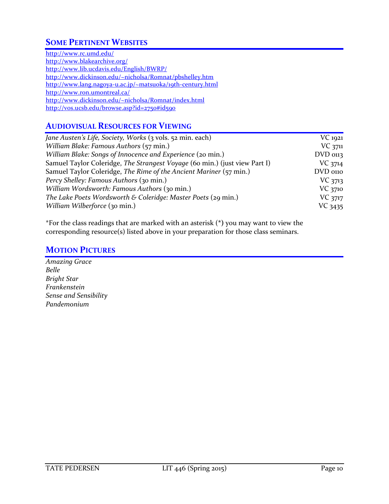## **SOME PERTINENT WEBSITES**

<http://www.rc.umd.edu/> <http://www.blakearchive.org/> <http://www.lib.ucdavis.edu/English/BWRP/> <http://www.dickinson.edu/~nicholsa/Romnat/pbshelley.htm> <http://www.lang.nagoya-u.ac.jp/~matsuoka/19th-century.html> <http://www.ron.umontreal.ca/> <http://www.dickinson.edu/~nicholsa/Romnat/index.html> <http://vos.ucsb.edu/browse.asp?id=2750#id590>

### **AUDIOVISUAL RESOURCES FOR VIEWING**

| Jane Austen's Life, Society, Works (3 vols. 52 min. each)                  | $VC$ 1921  |
|----------------------------------------------------------------------------|------------|
| William Blake: Famous Authors (57 min.)                                    | $VC$ 3711  |
| William Blake: Songs of Innocence and Experience (20 min.)                 | $DVD$ 0113 |
| Samuel Taylor Coleridge, The Strangest Voyage (60 min.) (just view Part I) | VC 3714    |
| Samuel Taylor Coleridge, The Rime of the Ancient Mariner (57 min.)         | DVD 0110   |
| Percy Shelley: Famous Authors (30 min.)                                    | $VC$ 3713  |
| William Wordsworth: Famous Authors (30 min.)                               | VC 3710    |
| The Lake Poets Wordsworth & Coleridge: Master Poets (29 min.)              | VC 3717    |
| William Wilberforce (30 min.)                                              | VC 3435    |

\*For the class readings that are marked with an asterisk (**\*)** you may want to view the corresponding resource(s) listed above in your preparation for those class seminars.

### **MOTION PICTURES**

*Amazing Grace Belle Bright Star Frankenstein Sense and Sensibility Pandemonium*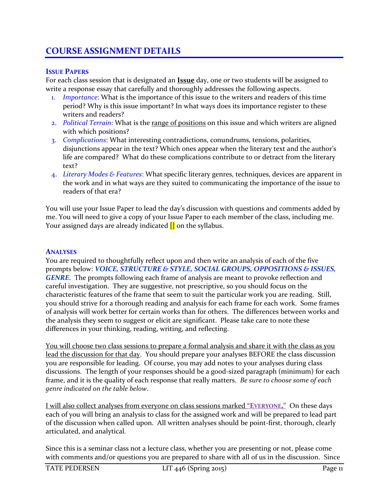## **COURSE ASSIGNMENT DETAILS**

### **ISSUE PAPERS**

For each class session that is designated an **Issue** day, one or two students will be assigned to write a response essay that carefully and thoroughly addresses the following aspects.

- 1. *Importance*: What is the importance of this issue to the writers and readers of this time period? Why is this issue important? In what ways does its importance register to these writers and readers?
- 2. *Political Terrain*: What is the range of positions on this issue and which writers are aligned with which positions?
- 3. *Complications*: What interesting contradictions, conundrums, tensions, polarities, disjunctions appear in the text? Which ones appear when the literary text and the author's life are compared? What do these complications contribute to or detract from the literary text?
- 4. *Literary Modes & Features*: What specific literary genres, techniques, devices are apparent in the work and in what ways are they suited to communicating the importance of the issue to readers of that era?

You will use your Issue Paper to lead the day's discussion with questions and comments added by me. You will need to give a copy of your Issue Paper to each member of the class, including me. Your assigned days are already indicated  $\prod$  on the syllabus.

### **ANALYSES**

You are required to thoughtfully reflect upon and then write an analysis of each of the five prompts below: *VOICE, STRUCTURE & STYLE, SOCIAL GROUPS, OPPOSITIONS & ISSUES, GENRE*. The prompts following each frame of analysis are meant to provoke reflection and careful investigation. They are suggestive, not prescriptive, so you should focus on the characteristic features of the frame that seem to suit the particular work you are reading. Still, you should strive for a thorough reading and analysis for each frame for each work. Some frames of analysis will work better for certain works than for others. The differences between works and the analysis they seem to suggest or elicit are significant. Please take care to note these differences in your thinking, reading, writing, and reflecting.

You will choose two class sessions to prepare a formal analysis and share it with the class as you lead the discussion for that day. You should prepare your analyses BEFORE the class discussion you are responsible for leading. Of course, you may add notes to your analyses during class discussions. The length of your responses should be a good-sized paragraph (minimum) for each frame, and it is the quality of each response that really matters. *Be sure to choose some of each genre indicated on the table below*.

I will also collect analyses from everyone on class sessions marked **"EVERYONE."** On these days each of you will bring an analysis to class for the assigned work and will be prepared to lead part of the discussion when called upon. All written analyses should be point-first, thorough, clearly articulated, and analytical*.*

Since this is a seminar class not a lecture class, whether you are presenting or not, please come with comments and/or questions you are prepared to share with all of us in the discussion. Since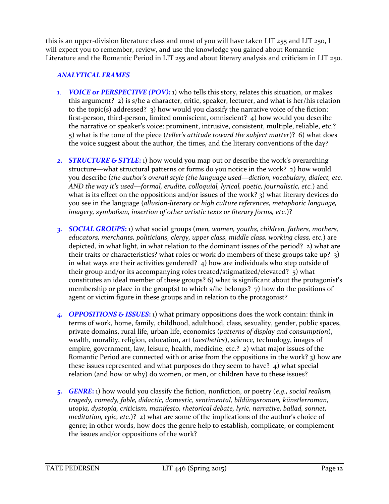this is an upper-division literature class and most of you will have taken LIT 255 and LIT 250, I will expect you to remember, review, and use the knowledge you gained about Romantic Literature and the Romantic Period in LIT 255 and about literary analysis and criticism in LIT 250.

### *ANALYTICAL FRAMES*

- 1. *VOICE or PERSPECTIVE (POV):* 1) who tells this story, relates this situation, or makes this argument? 2) is s/he a character, critic, speaker, lecturer, and what is her/his relation to the topic(s) addressed?  $\alpha$ ) how would you classify the narrative voice of the fiction: first-person, third-person, limited omniscient, omniscient? 4) how would you describe the narrative or speaker's voice: prominent, intrusive, consistent, multiple, reliable, etc.? 5) what is the tone of the piece (*teller's attitude toward the subject matter*)? 6) what does the voice suggest about the author, the times, and the literary conventions of the day?
- *2. STRUCTURE & STYLE***:** 1) how would you map out or describe the work's overarching structure—what structural patterns or forms do you notice in the work? 2) how would you describe (*the author's overall style (the language used—diction, vocabulary, dialect, etc. AND the way it's used—formal, erudite, colloquial, lyrical, poetic, journalistic, etc.*) and what is its effect on the oppositions and/or issues of the work? 3) what literary devices do you see in the language (*allusion-literary or high culture references, metaphoric language, imagery, symbolism, insertion of other artistic texts or literary forms, etc.*)?
- *3. SOCIAL GROUPS***:** 1) what social groups (*men, women, youths, children, fathers, mothers, educators, merchants, politicians, clergy, upper class, middle class, working class, etc.*) are depicted, in what light, in what relation to the dominant issues of the period? 2) what are their traits or characteristics? what roles or work do members of these groups take up? 3) in what ways are their activities gendered? 4) how are individuals who step outside of their group and/or its accompanying roles treated/stigmatized/elevated? 5) what constitutes an ideal member of these groups? 6) what is significant about the protagonist's membership or place in the group(s) to which s/he belongs?  $\tau$ ) how do the positions of agent or victim figure in these groups and in relation to the protagonist?
- *4. OPPOSITIONS & ISSUES***:** 1) what primary oppositions does the work contain: think in terms of work, home, family, childhood, adulthood, class, sexuality, gender, public spaces, private domains, rural life, urban life, economics (*patterns of display and consumption*), wealth, morality, religion, education, art (*aesthetics*), science, technology, images of empire, government, law, leisure, health, medicine, etc.? 2) what major issues of the Romantic Period are connected with or arise from the oppositions in the work? 3) how are these issues represented and what purposes do they seem to have? 4) what special relation (and how or why) do women, or men, or children have to these issues?
- *5. GENRE***:** 1) how would you classify the fiction, nonfiction, or poetry (*e.g., social realism, tragedy, comedy, fable, didactic, domestic, sentimental, bildüngsroman, künstlerroman, utopia, dystopia, criticism, manifesto, rhetorical debate, lyric, narrative, ballad, sonnet, meditation, epic, etc.*)? 2) what are some of the implications of the author's choice of genre; in other words, how does the genre help to establish, complicate, or complement the issues and/or oppositions of the work?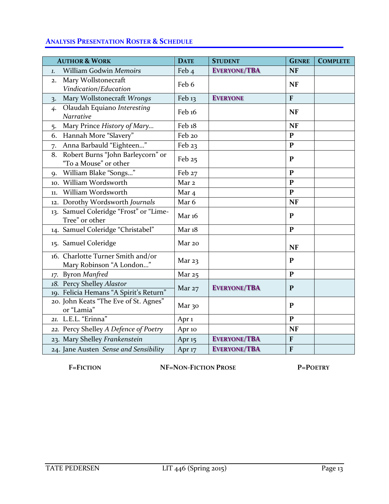### **ANALYSIS PRESENTATION ROSTER & SCHEDULE**

| <b>AUTHOR &amp; WORK</b>                                            | <b>DATE</b>       | <b>STUDENT</b>      | <b>GENRE</b> | <b>COMPLETE</b> |
|---------------------------------------------------------------------|-------------------|---------------------|--------------|-----------------|
| William Godwin Memoirs<br>1.                                        | Feb <sub>4</sub>  | <b>EVERYONE/TBA</b> | <b>NF</b>    |                 |
| Mary Wollstonecraft<br>2.<br>Vindication/Education                  | Feb 6             |                     | <b>NF</b>    |                 |
| Mary Wollstonecraft Wrongs<br>3.                                    | Feb <sub>13</sub> | <b>EVERYONE</b>     | $\mathbf{F}$ |                 |
| Olaudah Equiano Interesting<br>4.<br>Narrative                      | Feb <sub>16</sub> |                     | <b>NF</b>    |                 |
| Mary Prince History of Mary<br>5.                                   | Feb 18            |                     | <b>NF</b>    |                 |
| Hannah More "Slavery"<br>6.                                         | Feb 20            |                     | ${\bf P}$    |                 |
| Anna Barbauld "Eighteen"<br>7.                                      | Feb 23            |                     | $\mathbf{P}$ |                 |
| Robert Burns "John Barleycorn" or<br>8.<br>"To a Mouse" or other    | Feb 25            |                     | P            |                 |
| William Blake "Songs"<br>9.                                         | Feb 27            |                     | $\mathbf{P}$ |                 |
| 10. William Wordsworth                                              | Mar <sub>2</sub>  |                     | $\mathbf{P}$ |                 |
| William Wordsworth<br>11.                                           | Mar <sub>4</sub>  |                     | $\mathbf{P}$ |                 |
| 12. Dorothy Wordsworth Journals                                     | Mar 6             |                     | <b>NF</b>    |                 |
| 13. Samuel Coleridge "Frost" or "Lime-<br>Tree" or other            | Mar 16            |                     | P            |                 |
| 14. Samuel Coleridge "Christabel"                                   | Mar <sub>18</sub> |                     | $\mathbf{P}$ |                 |
| 15. Samuel Coleridge                                                | Mar 20            |                     | <b>NF</b>    |                 |
| 16. Charlotte Turner Smith and/or<br>Mary Robinson "A London"       | Mar 23            |                     | P            |                 |
| 17. Byron Manfred                                                   | Mar $25$          |                     | $\mathbf{P}$ |                 |
| 18. Percy Shelley Alastor<br>19. Felicia Hemans "A Spirit's Return" | Mar $27$          | <b>EVERYONE/TBA</b> | P            |                 |
| 20. John Keats "The Eve of St. Agnes"<br>or "Lamia"                 | Mar 30            |                     | $\mathbf{P}$ |                 |
| 21. L.E.L. "Erinna"                                                 | Apr <sub>1</sub>  |                     | $\mathbf{P}$ |                 |
| 22. Percy Shelley A Defence of Poetry                               | Apr 10            |                     | <b>NF</b>    |                 |
| 23. Mary Shelley Frankenstein                                       | Apr $15$          | <b>EVERYONE/TBA</b> | ${\bf F}$    |                 |
| 24. Jane Austen Sense and Sensibility                               | Apr <sub>17</sub> | <b>EVERYONE/TBA</b> | $\mathbf{F}$ |                 |

**F=FICTION NF=NON-FICTION PROSE P=POETRY**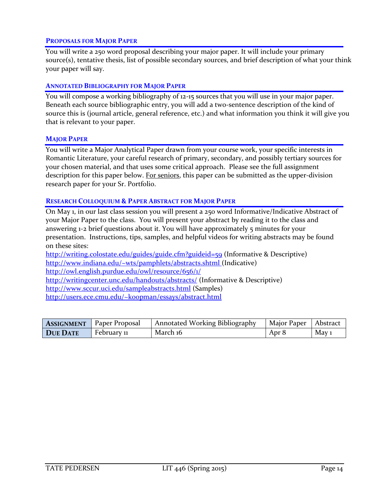#### **PROPOSALS FOR MAJOR PAPER**

You will write a 250 word proposal describing your major paper. It will include your primary source(s), tentative thesis, list of possible secondary sources, and brief description of what your think your paper will say.

#### **ANNOTATED BIBLIOGRAPHY FOR MAJOR PAPER**

You will compose a working bibliography of 12-15 sources that you will use in your major paper. Beneath each source bibliographic entry, you will add a two-sentence description of the kind of source this is (journal article, general reference, etc.) and what information you think it will give you that is relevant to your paper.

#### **MAJOR PAPER**

You will write a Major Analytical Paper drawn from your course work, your specific interests in Romantic Literature, your careful research of primary, secondary, and possibly tertiary sources for your chosen material, and that uses some critical approach. Please see the full assignment description for this paper below. For seniors, this paper can be submitted as the upper-division research paper for your Sr. Portfolio.

#### **RESEARCH COLLOQUIUM & PAPER ABSTRACT FOR MAJOR PAPER**

On May 1, in our last class session you will present a 250 word Informative/Indicative Abstract of your Major Paper to the class. You will present your abstract by reading it to the class and answering 1-2 brief questions about it. You will have approximately 5 minutes for your presentation. Instructions, tips, samples, and helpful videos for writing abstracts may be found on these sites:

<http://writing.colostate.edu/guides/guide.cfm?guideid=59> (Informative & Descriptive) <http://www.indiana.edu/~wts/pamphlets/abstracts.shtml> (Indicative) <http://owl.english.purdue.edu/owl/resource/656/1/> <http://writingcenter.unc.edu/handouts/abstracts/> (Informative & Descriptive) <http://www.sccur.uci.edu/sampleabstracts.html> (Samples) <http://users.ece.cmu.edu/~koopman/essays/abstract.html>

|                 | <b>ASSIGNMENT</b> Paper Proposal | Annotated Working Bibliography | Major Paper   Abstract |                  |
|-----------------|----------------------------------|--------------------------------|------------------------|------------------|
| <b>DUE DATE</b> | February 11                      | March 16                       | Apr 8                  | May <sub>1</sub> |